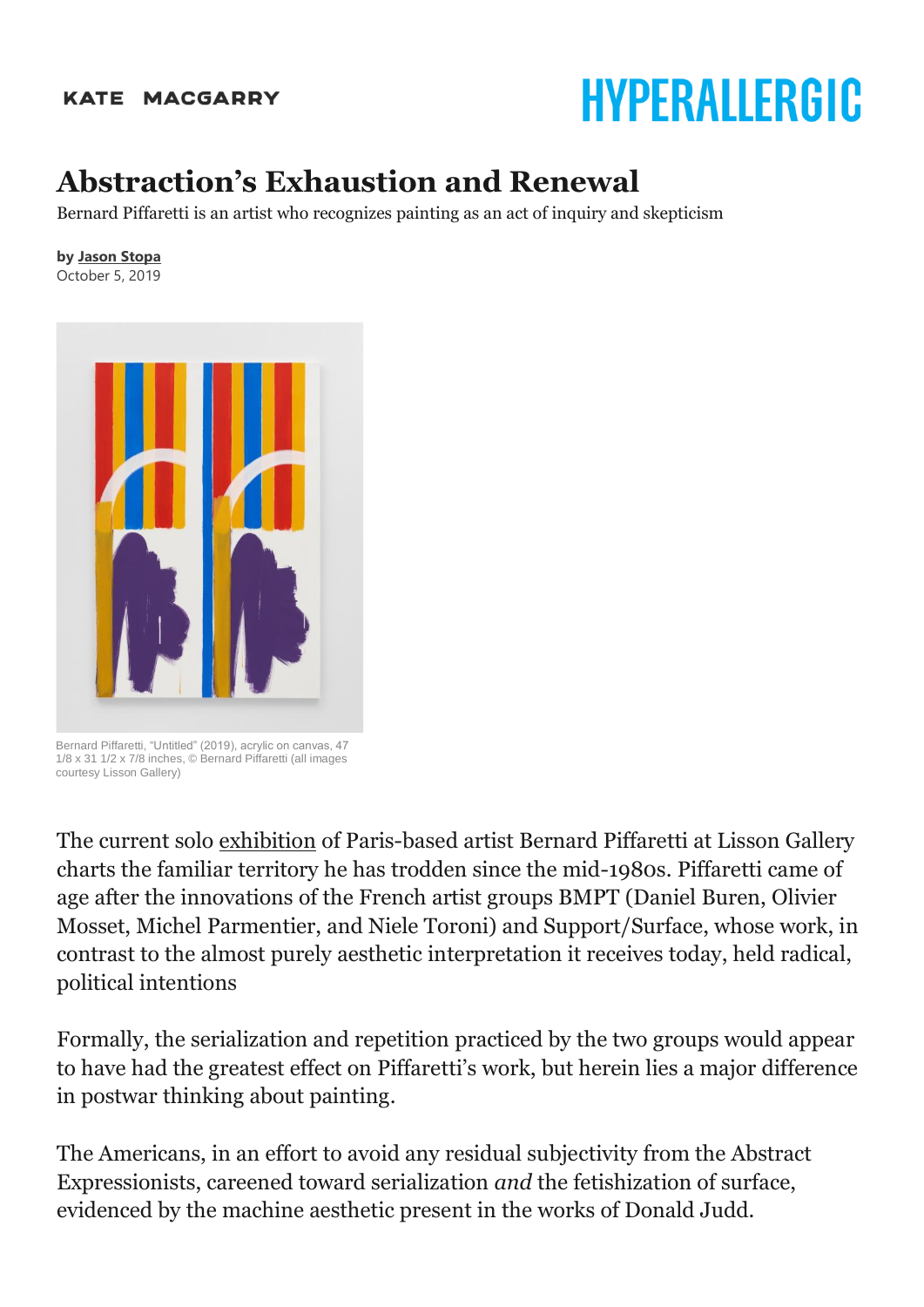## **KATE MACGARRY**

## HYPERALLERGIC

## **Abstraction's Exhaustion and Renewal**

Bernard Piffaretti is an artist who recognizes painting as an act of inquiry and skepticism

## **by [Jason Stopa](https://hyperallergic.com/author/jason-stopa/)**

October 5, 2019



Bernard Piffaretti, "Untitled" (2019), acrylic on canvas, 47 1/8 x 31 1/2 x 7/8 inches, © Bernard Piffaretti (all images courtesy Lisson Gallery)

The current solo [exhibition](https://www.lissongallery.com/exhibitions/bernard-piffaretti) of Paris-based artist Bernard Piffaretti at Lisson Gallery charts the familiar territory he has trodden since the mid-1980s. Piffaretti came of age after the innovations of the French artist groups BMPT (Daniel Buren, Olivier Mosset, Michel Parmentier, and Niele Toroni) and Support/Surface, whose work, in contrast to the almost purely aesthetic interpretation it receives today, held radical, political intentions

Formally, the serialization and repetition practiced by the two groups would appear to have had the greatest effect on Piffaretti's work, but herein lies a major difference in postwar thinking about painting.

The Americans, in an effort to avoid any residual subjectivity from the Abstract Expressionists, careened toward serialization *and* the fetishization of surface, evidenced by the machine aesthetic present in the works of Donald Judd.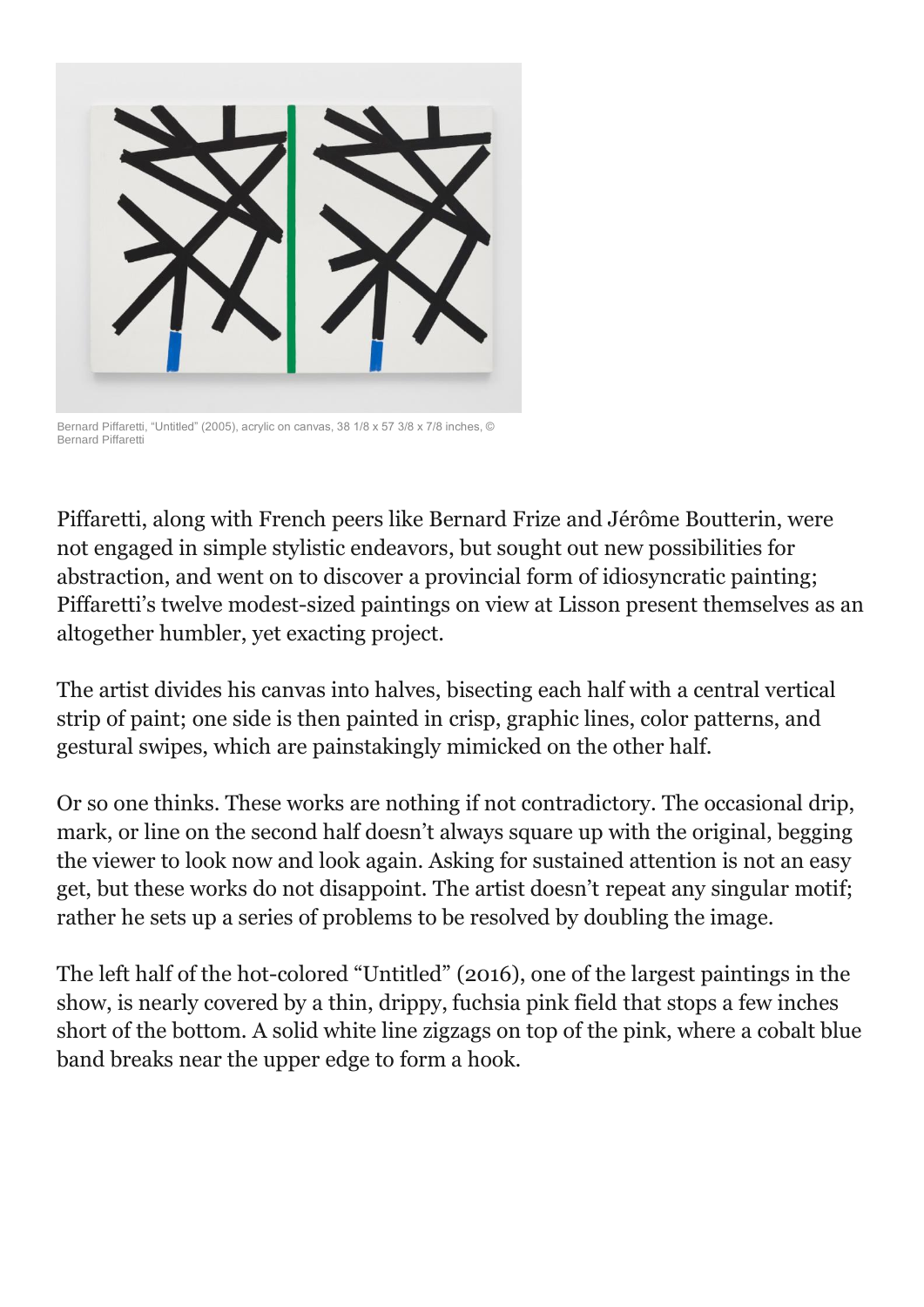

Bernard Piffaretti, "Untitled" (2005), acrylic on canvas, 38 1/8 x 57 3/8 x 7/8 inches, © Bernard Piffaretti

Piffaretti, along with French peers like Bernard Frize and Jérôme Boutterin, were not engaged in simple stylistic endeavors, but sought out new possibilities for abstraction, and went on to discover a provincial form of idiosyncratic painting; Piffaretti's twelve modest-sized paintings on view at Lisson present themselves as an altogether humbler, yet exacting project.

The artist divides his canvas into halves, bisecting each half with a central vertical strip of paint; one side is then painted in crisp, graphic lines, color patterns, and gestural swipes, which are painstakingly mimicked on the other half.

Or so one thinks. These works are nothing if not contradictory. The occasional drip, mark, or line on the second half doesn't always square up with the original, begging the viewer to look now and look again. Asking for sustained attention is not an easy get, but these works do not disappoint. The artist doesn't repeat any singular motif; rather he sets up a series of problems to be resolved by doubling the image.

The left half of the hot-colored "Untitled" (2016), one of the largest paintings in the show, is nearly covered by a thin, drippy, fuchsia pink field that stops a few inches short of the bottom. A solid white line zigzags on top of the pink, where a cobalt blue band breaks near the upper edge to form a hook.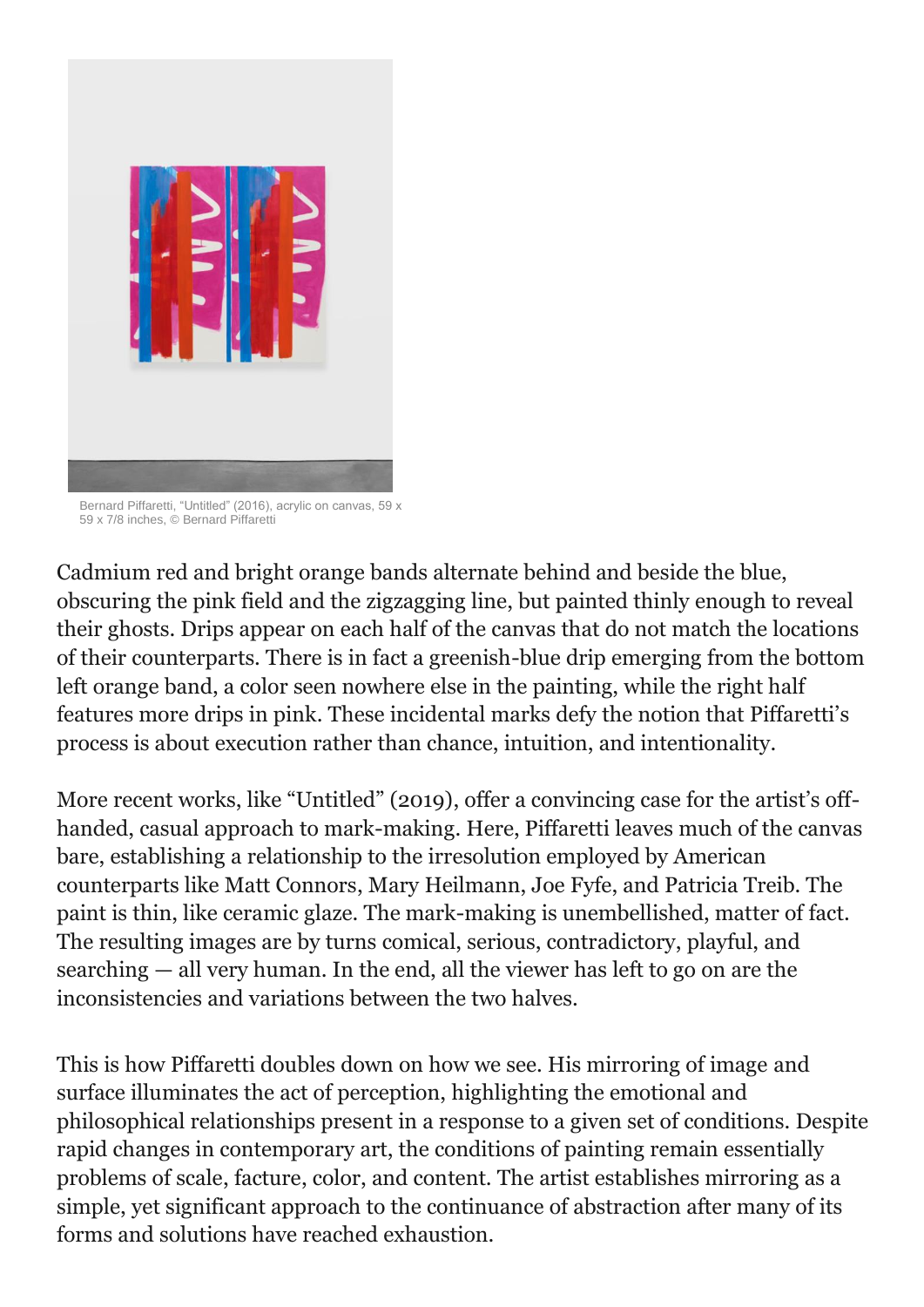

Bernard Piffaretti, "Untitled" (2016), acrylic on canvas, 59 x 59 x 7/8 inches, © Bernard Piffaretti

Cadmium red and bright orange bands alternate behind and beside the blue, obscuring the pink field and the zigzagging line, but painted thinly enough to reveal their ghosts. Drips appear on each half of the canvas that do not match the locations of their counterparts. There is in fact a greenish-blue drip emerging from the bottom left orange band, a color seen nowhere else in the painting, while the right half features more drips in pink. These incidental marks defy the notion that Piffaretti's process is about execution rather than chance, intuition, and intentionality.

More recent works, like "Untitled" (2019), offer a convincing case for the artist's offhanded, casual approach to mark-making. Here, Piffaretti leaves much of the canvas bare, establishing a relationship to the irresolution employed by American counterparts like Matt Connors, Mary Heilmann, Joe Fyfe, and Patricia Treib. The paint is thin, like ceramic glaze. The mark-making is unembellished, matter of fact. The resulting images are by turns comical, serious, contradictory, playful, and searching — all very human. In the end, all the viewer has left to go on are the inconsistencies and variations between the two halves.

This is how Piffaretti doubles down on how we see. His mirroring of image and surface illuminates the act of perception, highlighting the emotional and philosophical relationships present in a response to a given set of conditions. Despite rapid changes in contemporary art, the conditions of painting remain essentially problems of scale, facture, color, and content. The artist establishes mirroring as a simple, yet significant approach to the continuance of abstraction after many of its forms and solutions have reached exhaustion.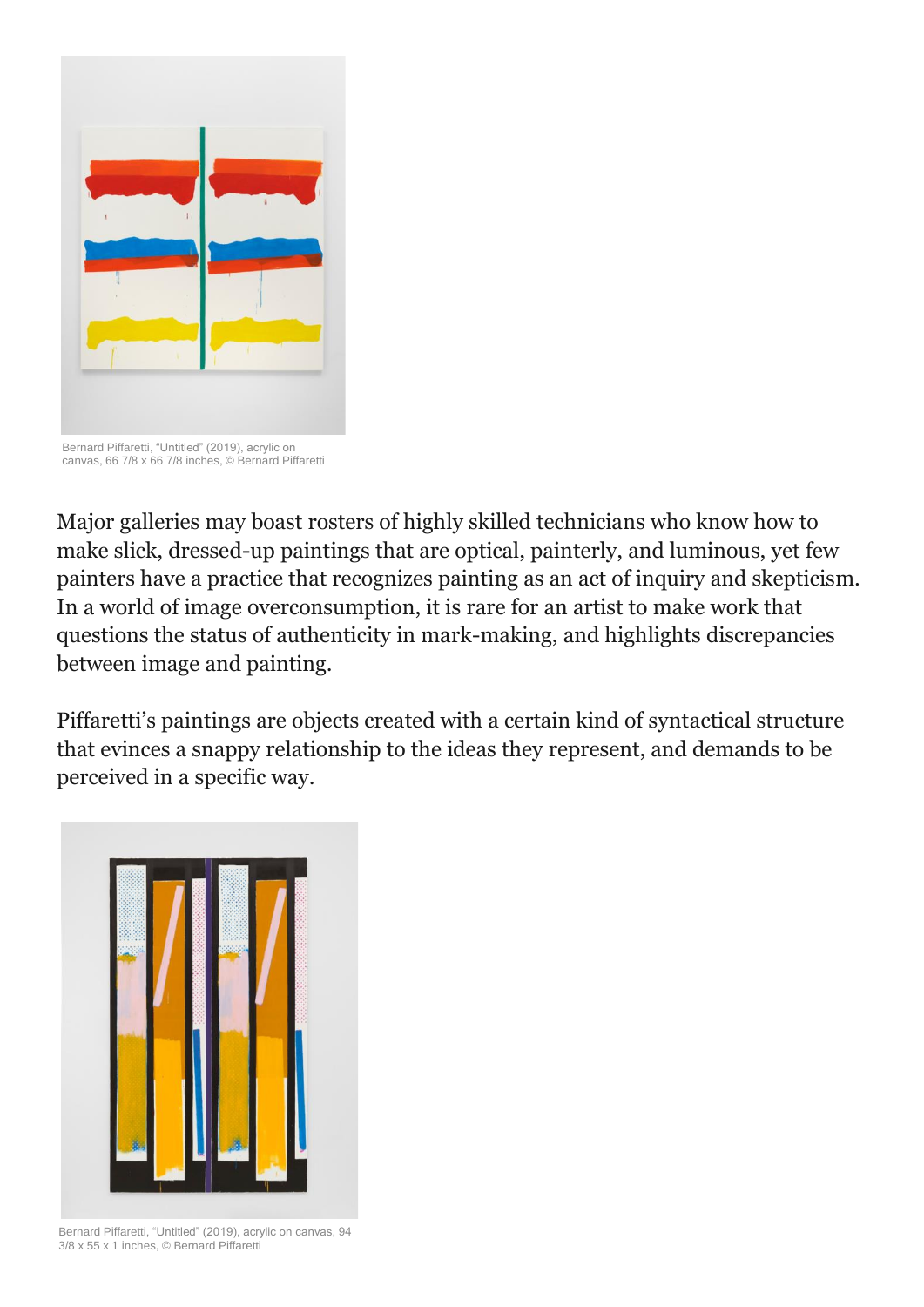

Bernard Piffaretti, "Untitled" (2019), acrylic on canvas, 66 7/8 x 66 7/8 inches, © Bernard Piffaretti

Major galleries may boast rosters of highly skilled technicians who know how to make slick, dressed-up paintings that are optical, painterly, and luminous, yet few painters have a practice that recognizes painting as an act of inquiry and skepticism. In a world of image overconsumption, it is rare for an artist to make work that questions the status of authenticity in mark-making, and highlights discrepancies between image and painting.

Piffaretti's paintings are objects created with a certain kind of syntactical structure that evinces a snappy relationship to the ideas they represent, and demands to be perceived in a specific way.



Bernard Piffaretti, "Untitled" (2019), acrylic on canvas, 94 3/8 x 55 x 1 inches, © Bernard Piffaretti